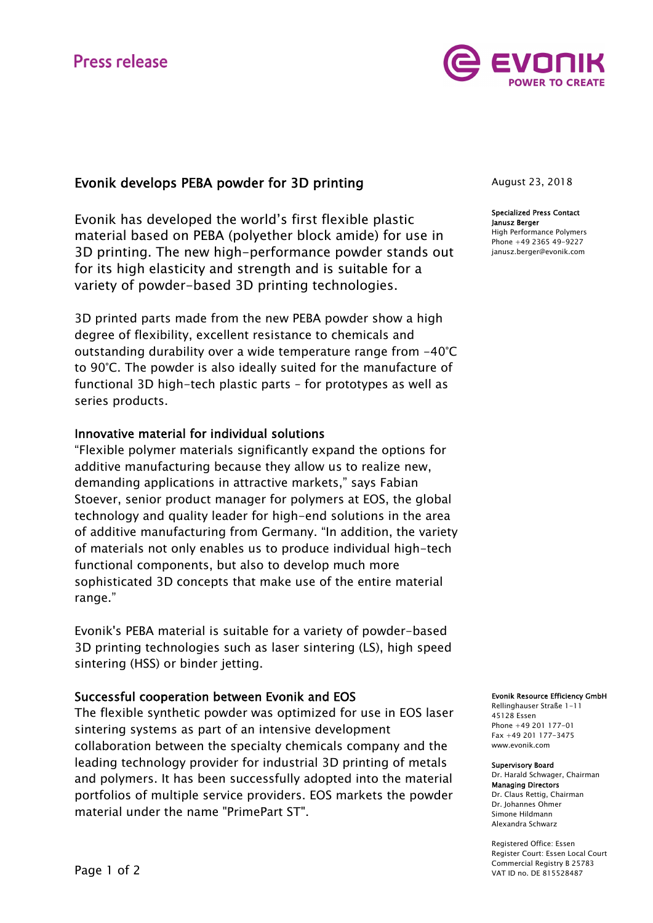

# Evonik develops PEBA powder for 3D printing

Evonik has developed the world's first flexible plastic material based on PEBA (polyether block amide) for use in 3D printing. The new high-performance powder stands out for its high elasticity and strength and is suitable for a variety of powder-based 3D printing technologies.

3D printed parts made from the new PEBA powder show a high degree of flexibility, excellent resistance to chemicals and outstanding durability over a wide temperature range from -40°C to 90°C. The powder is also ideally suited for the manufacture of functional 3D high-tech plastic parts – for prototypes as well as series products.

## Innovative material for individual solutions

"Flexible polymer materials significantly expand the options for additive manufacturing because they allow us to realize new, demanding applications in attractive markets," says Fabian Stoever, senior product manager for polymers at EOS, the global technology and quality leader for high-end solutions in the area of additive manufacturing from Germany. "In addition, the variety of materials not only enables us to produce individual high-tech functional components, but also to develop much more sophisticated 3D concepts that make use of the entire material range."

Evonik's PEBA material is suitable for a variety of powder-based 3D printing technologies such as laser sintering (LS), high speed sintering (HSS) or binder jetting.

## Successful cooperation between Evonik and EOS

The flexible synthetic powder was optimized for use in EOS laser sintering systems as part of an intensive development collaboration between the specialty chemicals company and the leading technology provider for industrial 3D printing of metals and polymers. It has been successfully adopted into the material portfolios of multiple service providers. EOS markets the powder material under the name "PrimePart ST".

August 23, 2018

Specialized Press Contact Janusz Berger High Performance Polymers Phone +49 2365 49-9227

janusz.berger@evonik.com

#### Evonik Resource Efficiency GmbH

Rellinghauser Straße 1-11 45128 Essen Phone +49 201 177-01 Fax +49 201 177-3475 www.evonik.com

#### Supervisory Board

Dr. Harald Schwager, Chairman Managing Directors Dr. Claus Rettig, Chairman Dr. Johannes Ohmer Simone Hildmann Alexandra Schwarz

Registered Office: Essen Register Court: Essen Local Court Commercial Registry B 25783 VAT ID no. DE 815528487